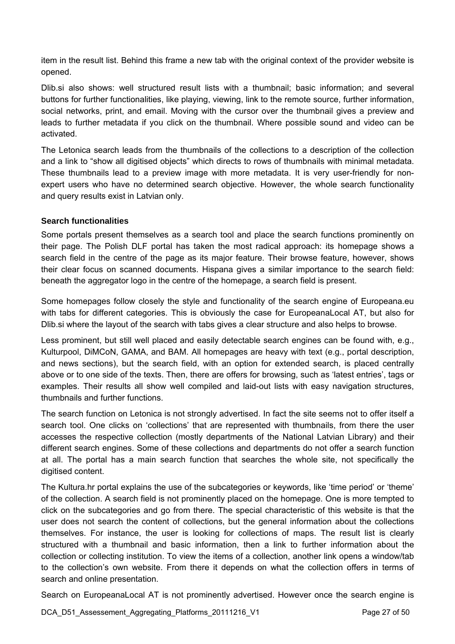item in the result list. Behind this frame a new tab with the original context of the provider website is opened.

Dlib.si also shows: well structured result lists with a thumbnail; basic information; and several buttons for further functionalities, like playing, viewing, link to the remote source, further information, social networks, print, and email. Moving with the cursor over the thumbnail gives a preview and leads to further metadata if you click on the thumbnail. Where possible sound and video can be activated.

The Letonica search leads from the thumbnails of the collections to a description of the collection and a link to "show all digitised objects" which directs to rows of thumbnails with minimal metadata. These thumbnails lead to a preview image with more metadata. It is very user-friendly for nonexpert users who have no determined search objective. However, the whole search functionality and query results exist in Latvian only.

#### **Search functionalities**

Some portals present themselves as a search tool and place the search functions prominently on their page. The Polish DLF portal has taken the most radical approach: its homepage shows a search field in the centre of the page as its major feature. Their browse feature, however, shows their clear focus on scanned documents. Hispana gives a similar importance to the search field: beneath the aggregator logo in the centre of the homepage, a search field is present.

Some homepages follow closely the style and functionality of the search engine of Europeana.eu with tabs for different categories. This is obviously the case for EuropeanaLocal AT, but also for Dlib.si where the layout of the search with tabs gives a clear structure and also helps to browse.

Less prominent, but still well placed and easily detectable search engines can be found with, e.g., Kulturpool, DiMCoN, GAMA, and BAM. All homepages are heavy with text (e.g., portal description, and news sections), but the search field, with an option for extended search, is placed centrally above or to one side of the texts. Then, there are offers for browsing, such as 'latest entries', tags or examples. Their results all show well compiled and laid-out lists with easy navigation structures, thumbnails and further functions.

The search function on Letonica is not strongly advertised. In fact the site seems not to offer itself a search tool. One clicks on 'collections' that are represented with thumbnails, from there the user accesses the respective collection (mostly departments of the National Latvian Library) and their different search engines. Some of these collections and departments do not offer a search function at all. The portal has a main search function that searches the whole site, not specifically the digitised content.

The Kultura.hr portal explains the use of the subcategories or keywords, like 'time period' or 'theme' of the collection. A search field is not prominently placed on the homepage. One is more tempted to click on the subcategories and go from there. The special characteristic of this website is that the user does not search the content of collections, but the general information about the collections themselves. For instance, the user is looking for collections of maps. The result list is clearly structured with a thumbnail and basic information, then a link to further information about the collection or collecting institution. To view the items of a collection, another link opens a window/tab to the collection's own website. From there it depends on what the collection offers in terms of search and online presentation.

Search on EuropeanaLocal AT is not prominently advertised. However once the search engine is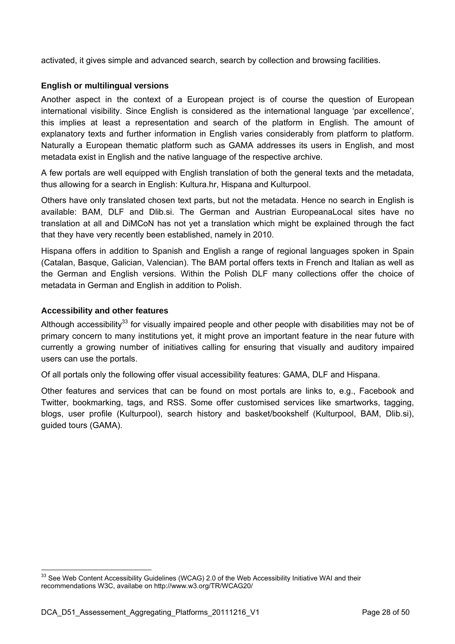activated, it gives simple and advanced search, search by collection and browsing facilities.

#### **English or multilingual versions**

Another aspect in the context of a European project is of course the question of European international visibility. Since English is considered as the international language 'par excellence', this implies at least a representation and search of the platform in English. The amount of explanatory texts and further information in English varies considerably from platform to platform. Naturally a European thematic platform such as GAMA addresses its users in English, and most metadata exist in English and the native language of the respective archive.

A few portals are well equipped with English translation of both the general texts and the metadata, thus allowing for a search in English: Kultura.hr, Hispana and Kulturpool.

Others have only translated chosen text parts, but not the metadata. Hence no search in English is available: BAM, DLF and Dlib.si. The German and Austrian EuropeanaLocal sites have no translation at all and DiMCoN has not yet a translation which might be explained through the fact that they have very recently been established, namely in 2010.

Hispana offers in addition to Spanish and English a range of regional languages spoken in Spain (Catalan, Basque, Galician, Valencian). The BAM portal offers texts in French and Italian as well as the German and English versions. Within the Polish DLF many collections offer the choice of metadata in German and English in addition to Polish.

#### **Accessibility and other features**

Although accessibility<sup>33</sup> for visually impaired people and other people with disabilities may not be of primary concern to many institutions yet, it might prove an important feature in the near future with currently a growing number of initiatives calling for ensuring that visually and auditory impaired users can use the portals.

Of all portals only the following offer visual accessibility features: GAMA, DLF and Hispana.

Other features and services that can be found on most portals are links to, e.g., Facebook and Twitter, bookmarking, tags, and RSS. Some offer customised services like smartworks, tagging, blogs, user profile (Kulturpool), search history and basket/bookshelf (Kulturpool, BAM, Dlib.si), guided tours (GAMA).



 $\overline{a}$  $33$  See Web Content Accessibility Guidelines (WCAG) 2.0 of the Web Accessibility Initiative WAI and their recommendations W3C, availabe on http://www.w3.org/TR/WCAG20/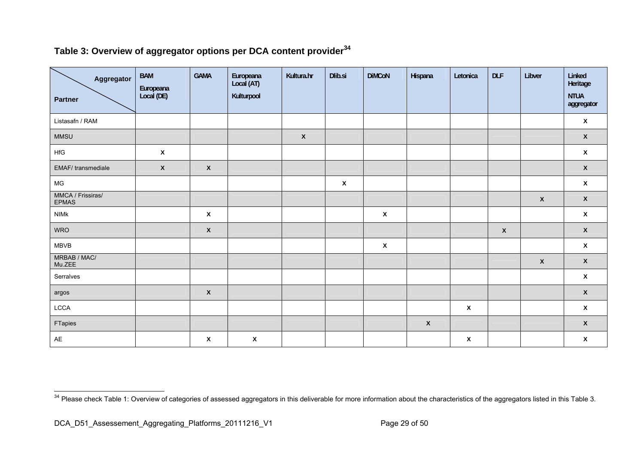### Table 3: Overview of aggregator options per DCA content provider<sup>34</sup>

| Aggregator<br><b>Partner</b>      | <b>BAM</b><br>Europeana<br>Local (DE) | <b>GAMA</b>  | Europeana<br>Local (AT)<br>Kulturpool | Kultura.hr         | Dlib.si                   | <b>DiMCoN</b>      | Hispana      | Letonica     | <b>DLF</b>         | Libver             | Linked<br>Heritage<br><b>NTUA</b><br>aggregator |
|-----------------------------------|---------------------------------------|--------------|---------------------------------------|--------------------|---------------------------|--------------------|--------------|--------------|--------------------|--------------------|-------------------------------------------------|
| Listasafn / RAM                   |                                       |              |                                       |                    |                           |                    |              |              |                    |                    | $\pmb{\mathsf{X}}$                              |
| <b>MMSU</b>                       |                                       |              |                                       | $\pmb{\mathsf{x}}$ |                           |                    |              |              |                    |                    | $\pmb{\chi}$                                    |
| HfG                               | $\pmb{\chi}$                          |              |                                       |                    |                           |                    |              |              |                    |                    | $\pmb{\chi}$                                    |
| EMAF/transmediale                 | $\mathsf{x}$                          | $\pmb{\chi}$ |                                       |                    |                           |                    |              |              |                    |                    | $\pmb{\chi}$                                    |
| MG                                |                                       |              |                                       |                    | $\boldsymbol{\mathsf{x}}$ |                    |              |              |                    |                    | $\pmb{\mathsf{X}}$                              |
| MMCA / Frissiras/<br><b>EPMAS</b> |                                       |              |                                       |                    |                           |                    |              |              |                    | $\pmb{\mathsf{X}}$ | $\pmb{\chi}$                                    |
| <b>NIMK</b>                       |                                       | $\pmb{\chi}$ |                                       |                    |                           | $\pmb{\mathsf{X}}$ |              |              |                    |                    | $\pmb{\mathsf{X}}$                              |
| <b>WRO</b>                        |                                       | $\pmb{\chi}$ |                                       |                    |                           |                    |              |              | $\pmb{\mathsf{X}}$ |                    | $\pmb{\chi}$                                    |
| <b>MBVB</b>                       |                                       |              |                                       |                    |                           | $\pmb{\chi}$       |              |              |                    |                    | $\pmb{\mathsf{X}}$                              |
| MRBAB / MAC/<br>Mu.ZEE            |                                       |              |                                       |                    |                           |                    |              |              |                    | $\pmb{\mathsf{X}}$ | $\pmb{\chi}$                                    |
| Serralves                         |                                       |              |                                       |                    |                           |                    |              |              |                    |                    | $\pmb{\chi}$                                    |
| argos                             |                                       | $\pmb{\chi}$ |                                       |                    |                           |                    |              |              |                    |                    | $\pmb{\chi}$                                    |
| $_{\mathsf{LCCA}}$                |                                       |              |                                       |                    |                           |                    |              | $\pmb{\chi}$ |                    |                    | $\pmb{\chi}$                                    |
| FTapies                           |                                       |              |                                       |                    |                           |                    | $\pmb{\chi}$ |              |                    |                    | $\pmb{\chi}$                                    |
| AE                                |                                       | $\pmb{\chi}$ | $\pmb{\chi}$                          |                    |                           |                    |              | $\pmb{\chi}$ |                    |                    | $\pmb{\chi}$                                    |

<sup>&</sup>lt;sup>34</sup> Please check Table 1: Overview of categories of assessed aggregators in this deliverable for more information about the characteristics of the aggregators listed in this Table 3.

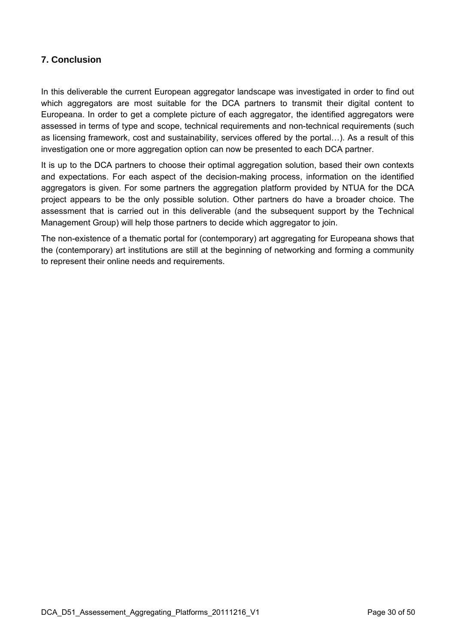#### **7. Conclusion**

In this deliverable the current European aggregator landscape was investigated in order to find out which aggregators are most suitable for the DCA partners to transmit their digital content to Europeana. In order to get a complete picture of each aggregator, the identified aggregators were assessed in terms of type and scope, technical requirements and non-technical requirements (such as licensing framework, cost and sustainability, services offered by the portal…). As a result of this investigation one or more aggregation option can now be presented to each DCA partner.

It is up to the DCA partners to choose their optimal aggregation solution, based their own contexts and expectations. For each aspect of the decision-making process, information on the identified aggregators is given. For some partners the aggregation platform provided by NTUA for the DCA project appears to be the only possible solution. Other partners do have a broader choice. The assessment that is carried out in this deliverable (and the subsequent support by the Technical Management Group) will help those partners to decide which aggregator to join.

The non-existence of a thematic portal for (contemporary) art aggregating for Europeana shows that the (contemporary) art institutions are still at the beginning of networking and forming a community to represent their online needs and requirements.



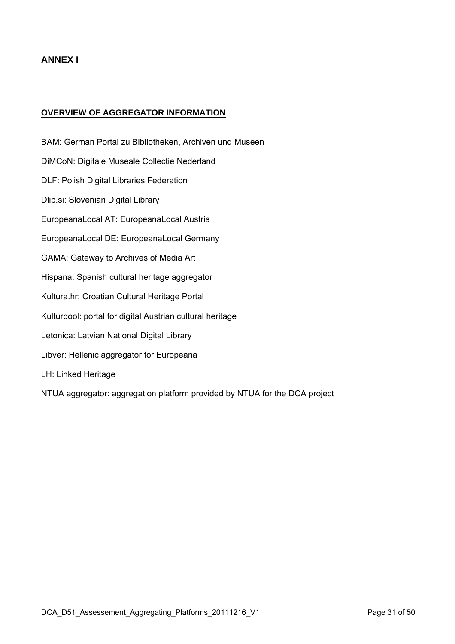#### **OVERVIEW OF AGGREGATOR INFORMATION**

BAM: German Portal zu Bibliotheken, Archiven und Museen DiMCoN: Digitale Museale Collectie Nederland DLF: Polish Digital Libraries Federation Dlib.si: Slovenian Digital Library EuropeanaLocal AT: EuropeanaLocal Austria EuropeanaLocal DE: EuropeanaLocal Germany GAMA: Gateway to Archives of Media Art Hispana: Spanish cultural heritage aggregator Kultura.hr: Croatian Cultural Heritage Portal Kulturpool: portal for digital Austrian cultural heritage Letonica: Latvian National Digital Library Libver: Hellenic aggregator for Europeana LH: Linked Heritage NTUA aggregator: aggregation platform provided by NTUA for the DCA project

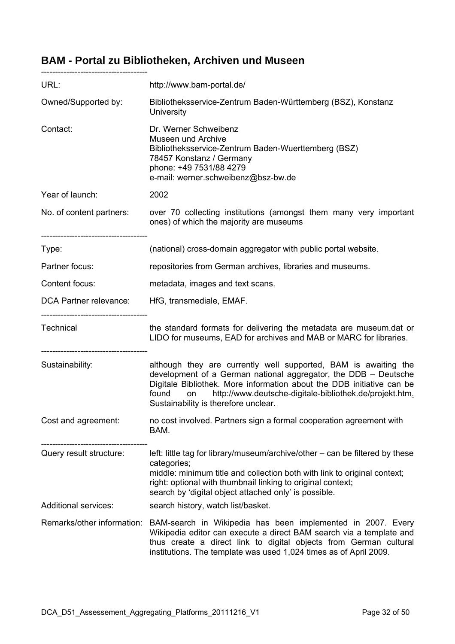### **BAM - Portal zu Bibliotheken, Archiven und Museen**

| URL:                                                  | http://www.bam-portal.de/                                                                                                                                                                                                                                                                                                     |
|-------------------------------------------------------|-------------------------------------------------------------------------------------------------------------------------------------------------------------------------------------------------------------------------------------------------------------------------------------------------------------------------------|
| Owned/Supported by:                                   | Bibliotheksservice-Zentrum Baden-Württemberg (BSZ), Konstanz<br>University                                                                                                                                                                                                                                                    |
| Contact:                                              | Dr. Werner Schweibenz<br><b>Museen und Archive</b><br>Bibliotheksservice-Zentrum Baden-Wuerttemberg (BSZ)<br>78457 Konstanz / Germany<br>phone: +49 7531/88 4279<br>e-mail: werner.schweibenz@bsz-bw.de                                                                                                                       |
| Year of launch:                                       | 2002                                                                                                                                                                                                                                                                                                                          |
| No. of content partners:                              | over 70 collecting institutions (amongst them many very important<br>ones) of which the majority are museums                                                                                                                                                                                                                  |
| Type:                                                 | (national) cross-domain aggregator with public portal website.                                                                                                                                                                                                                                                                |
| Partner focus:                                        | repositories from German archives, libraries and museums.                                                                                                                                                                                                                                                                     |
| Content focus:                                        | metadata, images and text scans.                                                                                                                                                                                                                                                                                              |
| DCA Partner relevance:                                | HfG, transmediale, EMAF.                                                                                                                                                                                                                                                                                                      |
| ---------------------------------<br><b>Technical</b> | the standard formats for delivering the metadata are museum.dat or<br>LIDO for museums, EAD for archives and MAB or MARC for libraries.                                                                                                                                                                                       |
| --------------------------------<br>Sustainability:   | although they are currently well supported, BAM is awaiting the<br>development of a German national aggregator, the DDB - Deutsche<br>Digitale Bibliothek. More information about the DDB initiative can be<br>found<br>http://www.deutsche-digitale-bibliothek.de/projekt.htm.<br>on<br>Sustainability is therefore unclear. |
| Cost and agreement:                                   | no cost involved. Partners sign a formal cooperation agreement with<br>BAM.                                                                                                                                                                                                                                                   |
| Query result structure:                               | left: little tag for library/museum/archive/other – can be filtered by these<br>categories;<br>middle: minimum title and collection both with link to original context;<br>right: optional with thumbnail linking to original context;<br>search by 'digital object attached only' is possible.                               |
| <b>Additional services:</b>                           | search history, watch list/basket.                                                                                                                                                                                                                                                                                            |
| Remarks/other information:                            | BAM-search in Wikipedia has been implemented in 2007. Every<br>Wikipedia editor can execute a direct BAM search via a template and<br>thus create a direct link to digital objects from German cultural<br>institutions. The template was used 1,024 times as of April 2009.                                                  |

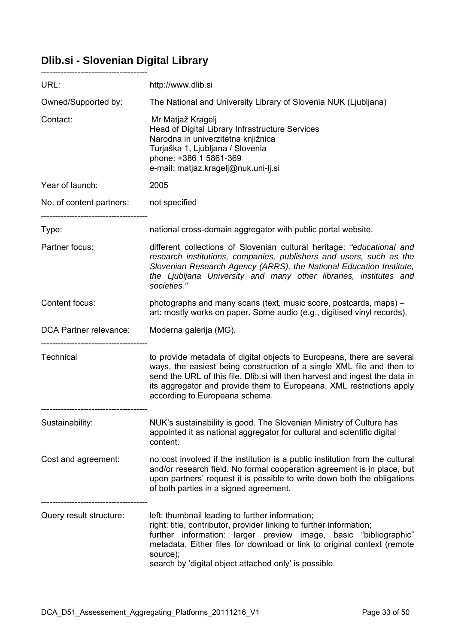# **Dlib.si - Slovenian Digital Library**

| URL:                          | http://www.dlib.si                                                                                                                                                                                                                                                                                                                         |
|-------------------------------|--------------------------------------------------------------------------------------------------------------------------------------------------------------------------------------------------------------------------------------------------------------------------------------------------------------------------------------------|
| Owned/Supported by:           | The National and University Library of Slovenia NUK (Ljubljana)                                                                                                                                                                                                                                                                            |
| Contact:                      | Mr Matjaž Kragelj<br>Head of Digital Library Infrastructure Services<br>Narodna in univerzitetna knjižnica<br>Turjaška 1, Ljubljana / Slovenia<br>phone: +386 1 5861-369<br>e-mail: matjaz.kragelj@nuk.uni-lj.si                                                                                                                           |
| Year of launch:               | 2005                                                                                                                                                                                                                                                                                                                                       |
| No. of content partners:      | not specified                                                                                                                                                                                                                                                                                                                              |
| Type:                         | national cross-domain aggregator with public portal website.                                                                                                                                                                                                                                                                               |
| Partner focus:                | different collections of Slovenian cultural heritage: "educational and<br>research institutions, companies, publishers and users, such as the<br>Slovenian Research Agency (ARRS), the National Education Institute,<br>the Ljubljana University and many other libraries, institutes and<br>societies."                                   |
| Content focus:                | photographs and many scans (text, music score, postcards, maps) –<br>art: mostly works on paper. Some audio (e.g., digitised vinyl records).                                                                                                                                                                                               |
| <b>DCA Partner relevance:</b> | Moderna galerija (MG).                                                                                                                                                                                                                                                                                                                     |
| <b>Technical</b>              | to provide metadata of digital objects to Europeana, there are several<br>ways, the easiest being construction of a single XML file and then to<br>send the URL of this file. Dlib.si will then harvest and ingest the data in<br>its aggregator and provide them to Europeana. XML restrictions apply<br>according to Europeana schema.   |
| Sustainability:               | NUK's sustainability is good. The Slovenian Ministry of Culture has<br>appointed it as national aggregator for cultural and scientific digital<br>content.                                                                                                                                                                                 |
| Cost and agreement:           | no cost involved if the institution is a public institution from the cultural<br>and/or research field. No formal cooperation agreement is in place, but<br>upon partners' request it is possible to write down both the obligations<br>of both parties in a signed agreement.                                                             |
| Query result structure:       | left: thumbnail leading to further information;<br>right: title, contributor, provider linking to further information;<br>further information: larger preview image, basic "bibliographic"<br>metadata. Either files for download or link to original context (remote<br>source);<br>search by 'digital object attached only' is possible. |

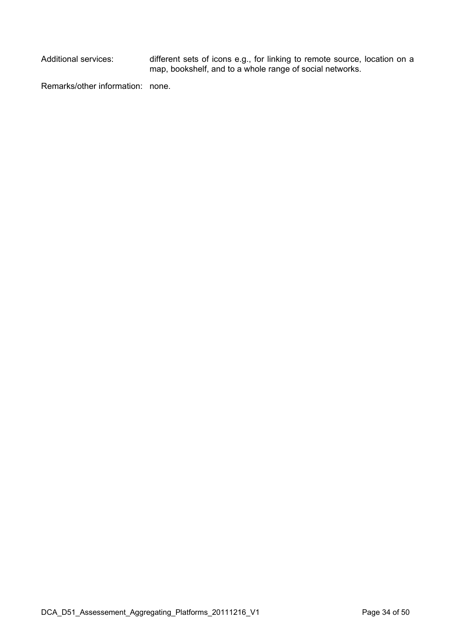Additional services: different sets of icons e.g., for linking to remote source, location on a map, bookshelf, and to a whole range of social networks.

Remarks/other information: none.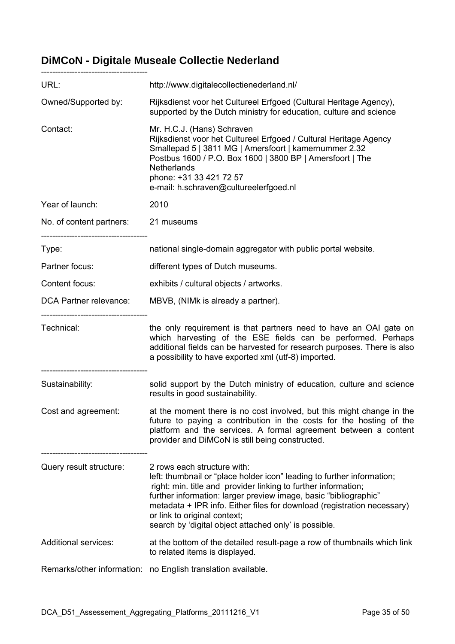### **DiMCoN - Digitale Museale Collectie Nederland**

| URL:                                           | http://www.digitalecollectienederland.nl/                                                                                                                                                                                                                                                                                                                                                                       |
|------------------------------------------------|-----------------------------------------------------------------------------------------------------------------------------------------------------------------------------------------------------------------------------------------------------------------------------------------------------------------------------------------------------------------------------------------------------------------|
| Owned/Supported by:                            | Rijksdienst voor het Cultureel Erfgoed (Cultural Heritage Agency),<br>supported by the Dutch ministry for education, culture and science                                                                                                                                                                                                                                                                        |
| Contact:                                       | Mr. H.C.J. (Hans) Schraven<br>Rijksdienst voor het Cultureel Erfgoed / Cultural Heritage Agency<br>Smallepad 5   3811 MG   Amersfoort   kamernummer 2.32<br>Postbus 1600 / P.O. Box 1600   3800 BP   Amersfoort   The<br>Netherlands<br>phone: +31 33 421 72 57<br>e-mail: h.schraven@cultureelerfgoed.nl                                                                                                       |
| Year of launch:                                | 2010                                                                                                                                                                                                                                                                                                                                                                                                            |
| No. of content partners: 21 museums            |                                                                                                                                                                                                                                                                                                                                                                                                                 |
| Type:                                          | national single-domain aggregator with public portal website.                                                                                                                                                                                                                                                                                                                                                   |
| Partner focus:                                 | different types of Dutch museums.                                                                                                                                                                                                                                                                                                                                                                               |
| Content focus:                                 | exhibits / cultural objects / artworks.                                                                                                                                                                                                                                                                                                                                                                         |
| DCA Partner relevance:                         | MBVB, (NIMk is already a partner).                                                                                                                                                                                                                                                                                                                                                                              |
| --------------------------------<br>Technical: | the only requirement is that partners need to have an OAI gate on<br>which harvesting of the ESE fields can be performed. Perhaps<br>additional fields can be harvested for research purposes. There is also<br>a possibility to have exported xml (utf-8) imported.                                                                                                                                            |
| Sustainability:                                | solid support by the Dutch ministry of education, culture and science<br>results in good sustainability.                                                                                                                                                                                                                                                                                                        |
| Cost and agreement:                            | at the moment there is no cost involved, but this might change in the<br>future to paying a contribution in the costs for the hosting of the<br>platform and the services. A formal agreement between a content<br>provider and DiMCoN is still being constructed.                                                                                                                                              |
| Query result structure:                        | 2 rows each structure with:<br>left: thumbnail or "place holder icon" leading to further information;<br>right: min. title and provider linking to further information;<br>further information: larger preview image, basic "bibliographic"<br>metadata + IPR info. Either files for download (registration necessary)<br>or link to original context;<br>search by 'digital object attached only' is possible. |
| <b>Additional services:</b>                    | at the bottom of the detailed result-page a row of thumbnails which link<br>to related items is displayed.                                                                                                                                                                                                                                                                                                      |
|                                                | Remarks/other information: no English translation available.                                                                                                                                                                                                                                                                                                                                                    |

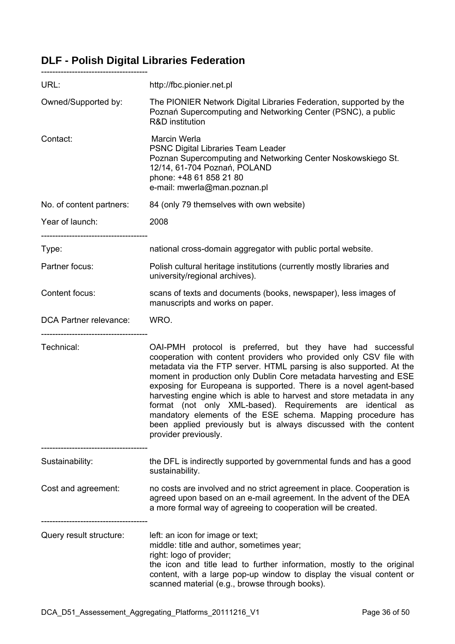# **DLF - Polish Digital Libraries Federation**

--------------------------------------

| URL:                     | http://fbc.pionier.net.pl                                                                                                                                                                                                                                                                                                                                                                                                                                                                                                                                                                                                                           |
|--------------------------|-----------------------------------------------------------------------------------------------------------------------------------------------------------------------------------------------------------------------------------------------------------------------------------------------------------------------------------------------------------------------------------------------------------------------------------------------------------------------------------------------------------------------------------------------------------------------------------------------------------------------------------------------------|
| Owned/Supported by:      | The PIONIER Network Digital Libraries Federation, supported by the<br>Poznań Supercomputing and Networking Center (PSNC), a public<br>R&D institution                                                                                                                                                                                                                                                                                                                                                                                                                                                                                               |
| Contact:                 | Marcin Werla<br><b>PSNC Digital Libraries Team Leader</b><br>Poznan Supercomputing and Networking Center Noskowskiego St.<br>12/14, 61-704 Poznań, POLAND<br>phone: +48 61 858 21 80<br>e-mail: mwerla@man.poznan.pl                                                                                                                                                                                                                                                                                                                                                                                                                                |
| No. of content partners: | 84 (only 79 themselves with own website)                                                                                                                                                                                                                                                                                                                                                                                                                                                                                                                                                                                                            |
| Year of launch:          | 2008                                                                                                                                                                                                                                                                                                                                                                                                                                                                                                                                                                                                                                                |
| Type:                    | national cross-domain aggregator with public portal website.                                                                                                                                                                                                                                                                                                                                                                                                                                                                                                                                                                                        |
| Partner focus:           | Polish cultural heritage institutions (currently mostly libraries and<br>university/regional archives).                                                                                                                                                                                                                                                                                                                                                                                                                                                                                                                                             |
| Content focus:           | scans of texts and documents (books, newspaper), less images of<br>manuscripts and works on paper.                                                                                                                                                                                                                                                                                                                                                                                                                                                                                                                                                  |
| DCA Partner relevance:   | WRO.                                                                                                                                                                                                                                                                                                                                                                                                                                                                                                                                                                                                                                                |
| Technical:               | OAI-PMH protocol is preferred, but they have had successful<br>cooperation with content providers who provided only CSV file with<br>metadata via the FTP server. HTML parsing is also supported. At the<br>moment in production only Dublin Core metadata harvesting and ESE<br>exposing for Europeana is supported. There is a novel agent-based<br>harvesting engine which is able to harvest and store metadata in any<br>format (not only XML-based). Requirements are identical as<br>mandatory elements of the ESE schema. Mapping procedure has<br>been applied previously but is always discussed with the content<br>provider previously. |
| Sustainability:          | the DFL is indirectly supported by governmental funds and has a good<br>sustainability.                                                                                                                                                                                                                                                                                                                                                                                                                                                                                                                                                             |
| Cost and agreement:      | no costs are involved and no strict agreement in place. Cooperation is<br>agreed upon based on an e-mail agreement. In the advent of the DEA<br>a more formal way of agreeing to cooperation will be created.                                                                                                                                                                                                                                                                                                                                                                                                                                       |
| Query result structure:  | left: an icon for image or text;<br>middle: title and author, sometimes year;<br>right: logo of provider;<br>the icon and title lead to further information, mostly to the original                                                                                                                                                                                                                                                                                                                                                                                                                                                                 |

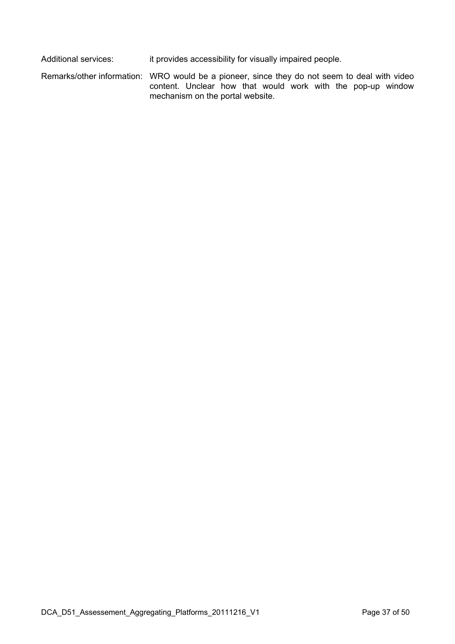Additional services: it provides accessibility for visually impaired people.

Remarks/other information: WRO would be a pioneer, since they do not seem to deal with video content. Unclear how that would work with the pop-up window mechanism on the portal website.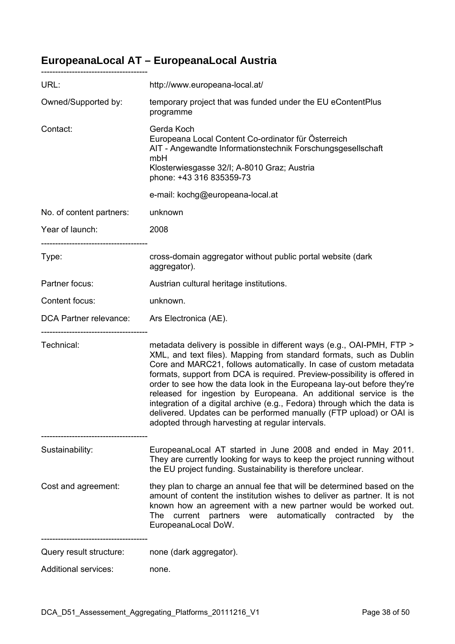# **EuropeanaLocal AT – EuropeanaLocal Austria**

| URL:                                         | http://www.europeana-local.at/                                                                                                                                                                                                                                                                                                                                                                                                                                                                                                                                                                                                                        |
|----------------------------------------------|-------------------------------------------------------------------------------------------------------------------------------------------------------------------------------------------------------------------------------------------------------------------------------------------------------------------------------------------------------------------------------------------------------------------------------------------------------------------------------------------------------------------------------------------------------------------------------------------------------------------------------------------------------|
| Owned/Supported by:                          | temporary project that was funded under the EU eContentPlus<br>programme                                                                                                                                                                                                                                                                                                                                                                                                                                                                                                                                                                              |
| Contact:                                     | Gerda Koch<br>Europeana Local Content Co-ordinator für Österreich<br>AIT - Angewandte Informationstechnik Forschungsgesellschaft<br>mbH<br>Klosterwiesgasse 32/I; A-8010 Graz; Austria<br>phone: +43 316 835359-73                                                                                                                                                                                                                                                                                                                                                                                                                                    |
|                                              | e-mail: kochg@europeana-local.at                                                                                                                                                                                                                                                                                                                                                                                                                                                                                                                                                                                                                      |
| No. of content partners:                     | unknown                                                                                                                                                                                                                                                                                                                                                                                                                                                                                                                                                                                                                                               |
| Year of launch:                              | 2008                                                                                                                                                                                                                                                                                                                                                                                                                                                                                                                                                                                                                                                  |
| ------------------------------<br>Type:      | cross-domain aggregator without public portal website (dark<br>aggregator).                                                                                                                                                                                                                                                                                                                                                                                                                                                                                                                                                                           |
| Partner focus:                               | Austrian cultural heritage institutions.                                                                                                                                                                                                                                                                                                                                                                                                                                                                                                                                                                                                              |
| Content focus:                               | unknown.                                                                                                                                                                                                                                                                                                                                                                                                                                                                                                                                                                                                                                              |
| DCA Partner relevance: Ars Electronica (AE). |                                                                                                                                                                                                                                                                                                                                                                                                                                                                                                                                                                                                                                                       |
| Technical:                                   | metadata delivery is possible in different ways (e.g., OAI-PMH, FTP ><br>XML, and text files). Mapping from standard formats, such as Dublin<br>Core and MARC21, follows automatically. In case of custom metadata<br>formats, support from DCA is required. Preview-possibility is offered in<br>order to see how the data look in the Europeana lay-out before they're<br>released for ingestion by Europeana. An additional service is the<br>integration of a digital archive (e.g., Fedora) through which the data is<br>delivered. Updates can be performed manually (FTP upload) or OAI is<br>adopted through harvesting at regular intervals. |
| Sustainability:                              | EuropeanaLocal AT started in June 2008 and ended in May 2011.<br>They are currently looking for ways to keep the project running without<br>the EU project funding. Sustainability is therefore unclear.                                                                                                                                                                                                                                                                                                                                                                                                                                              |
| Cost and agreement:                          | they plan to charge an annual fee that will be determined based on the<br>amount of content the institution wishes to deliver as partner. It is not<br>known how an agreement with a new partner would be worked out.<br>partners were automatically contracted<br>The<br>current<br>the<br>by<br>EuropeanaLocal DoW.                                                                                                                                                                                                                                                                                                                                 |
| Query result structure:                      | none (dark aggregator).                                                                                                                                                                                                                                                                                                                                                                                                                                                                                                                                                                                                                               |
| <b>Additional services:</b>                  | none.                                                                                                                                                                                                                                                                                                                                                                                                                                                                                                                                                                                                                                                 |

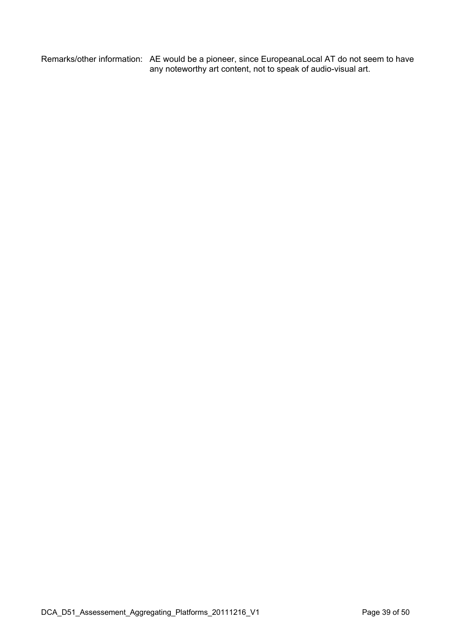Remarks/other information: AE would be a pioneer, since EuropeanaLocal AT do not seem to have any noteworthy art content, not to speak of audio-visual art.

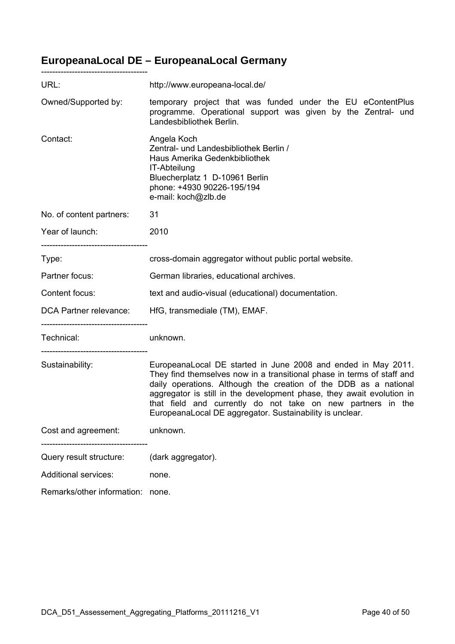# **EuropeanaLocal DE – EuropeanaLocal Germany**

| URL:                                                                                  | http://www.europeana-local.de/                                                                                                                                                                                                                                                                                                                                                                                  |
|---------------------------------------------------------------------------------------|-----------------------------------------------------------------------------------------------------------------------------------------------------------------------------------------------------------------------------------------------------------------------------------------------------------------------------------------------------------------------------------------------------------------|
| Owned/Supported by:                                                                   | temporary project that was funded under the EU eContentPlus<br>programme. Operational support was given by the Zentral- und<br>Landesbibliothek Berlin.                                                                                                                                                                                                                                                         |
| Contact:                                                                              | Angela Koch<br>Zentral- und Landesbibliothek Berlin /<br>Haus Amerika Gedenkbibliothek<br>IT-Abteilung<br>Bluecherplatz 1 D-10961 Berlin<br>phone: +4930 90226-195/194<br>e-mail: koch@zlb.de                                                                                                                                                                                                                   |
| No. of content partners:                                                              | 31                                                                                                                                                                                                                                                                                                                                                                                                              |
| Year of launch:                                                                       | 2010                                                                                                                                                                                                                                                                                                                                                                                                            |
| Type:                                                                                 | cross-domain aggregator without public portal website.                                                                                                                                                                                                                                                                                                                                                          |
| Partner focus:                                                                        | German libraries, educational archives.                                                                                                                                                                                                                                                                                                                                                                         |
| Content focus:                                                                        | text and audio-visual (educational) documentation.                                                                                                                                                                                                                                                                                                                                                              |
| DCA Partner relevance:                                                                | HfG, transmediale (TM), EMAF.                                                                                                                                                                                                                                                                                                                                                                                   |
| ---------------------------------<br>Technical:<br>---------------------------------- | unknown.                                                                                                                                                                                                                                                                                                                                                                                                        |
| Sustainability:                                                                       | EuropeanaLocal DE started in June 2008 and ended in May 2011.<br>They find themselves now in a transitional phase in terms of staff and<br>daily operations. Although the creation of the DDB as a national<br>aggregator is still in the development phase, they await evolution in<br>that field and currently do not take on new partners in the<br>EuropeanaLocal DE aggregator. Sustainability is unclear. |
| Cost and agreement:                                                                   | unknown.                                                                                                                                                                                                                                                                                                                                                                                                        |
| Query result structure:                                                               | (dark aggregator).                                                                                                                                                                                                                                                                                                                                                                                              |
| <b>Additional services:</b>                                                           | none.                                                                                                                                                                                                                                                                                                                                                                                                           |
| Remarks/other information:                                                            | none.                                                                                                                                                                                                                                                                                                                                                                                                           |

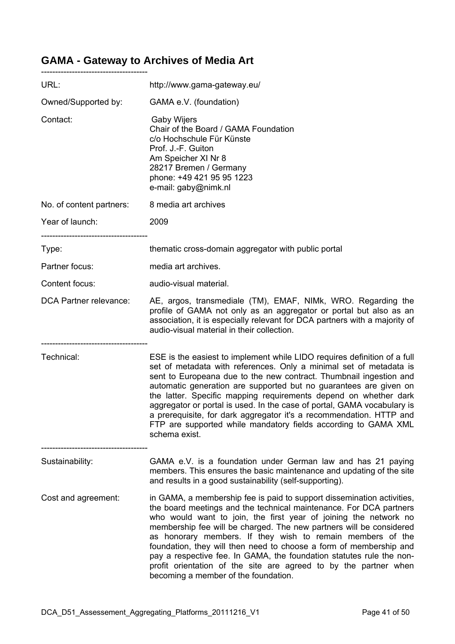### **GAMA - Gateway to Archives of Media Art**

| URL:                          | http://www.gama-gateway.eu/                                                                                                                                                                                                                                                                                                                                                                                                                                                                                                                                                                                     |
|-------------------------------|-----------------------------------------------------------------------------------------------------------------------------------------------------------------------------------------------------------------------------------------------------------------------------------------------------------------------------------------------------------------------------------------------------------------------------------------------------------------------------------------------------------------------------------------------------------------------------------------------------------------|
| Owned/Supported by:           | GAMA e.V. (foundation)                                                                                                                                                                                                                                                                                                                                                                                                                                                                                                                                                                                          |
| Contact:                      | <b>Gaby Wijers</b><br>Chair of the Board / GAMA Foundation<br>c/o Hochschule Für Künste<br>Prof. J.-F. Guiton<br>Am Speicher XI Nr 8<br>28217 Bremen / Germany<br>phone: +49 421 95 95 1223<br>e-mail: gaby@nimk.nl                                                                                                                                                                                                                                                                                                                                                                                             |
| No. of content partners:      | 8 media art archives                                                                                                                                                                                                                                                                                                                                                                                                                                                                                                                                                                                            |
| Year of launch:               | 2009                                                                                                                                                                                                                                                                                                                                                                                                                                                                                                                                                                                                            |
| Type:                         | thematic cross-domain aggregator with public portal                                                                                                                                                                                                                                                                                                                                                                                                                                                                                                                                                             |
| Partner focus:                | media art archives.                                                                                                                                                                                                                                                                                                                                                                                                                                                                                                                                                                                             |
| Content focus:                | audio-visual material.                                                                                                                                                                                                                                                                                                                                                                                                                                                                                                                                                                                          |
| <b>DCA Partner relevance:</b> | AE, argos, transmediale (TM), EMAF, NIMk, WRO. Regarding the<br>profile of GAMA not only as an aggregator or portal but also as an<br>association, it is especially relevant for DCA partners with a majority of<br>audio-visual material in their collection.                                                                                                                                                                                                                                                                                                                                                  |
| Technical:                    | ESE is the easiest to implement while LIDO requires definition of a full<br>set of metadata with references. Only a minimal set of metadata is<br>sent to Europeana due to the new contract. Thumbnail ingestion and<br>automatic generation are supported but no guarantees are given on<br>the latter. Specific mapping requirements depend on whether dark<br>aggregator or portal is used. In the case of portal, GAMA vocabulary is<br>a prerequisite, for dark aggregator it's a recommendation. HTTP and<br>FTP are supported while mandatory fields according to GAMA XML<br>schema exist.              |
| Sustainability:               | GAMA e.V. is a foundation under German law and has 21 paying<br>members. This ensures the basic maintenance and updating of the site<br>and results in a good sustainability (self-supporting).                                                                                                                                                                                                                                                                                                                                                                                                                 |
| Cost and agreement:           | in GAMA, a membership fee is paid to support dissemination activities,<br>the board meetings and the technical maintenance. For DCA partners<br>who would want to join, the first year of joining the network no<br>membership fee will be charged. The new partners will be considered<br>as honorary members. If they wish to remain members of the<br>foundation, they will then need to choose a form of membership and<br>pay a respective fee. In GAMA, the foundation statutes rule the non-<br>profit orientation of the site are agreed to by the partner when<br>becoming a member of the foundation. |

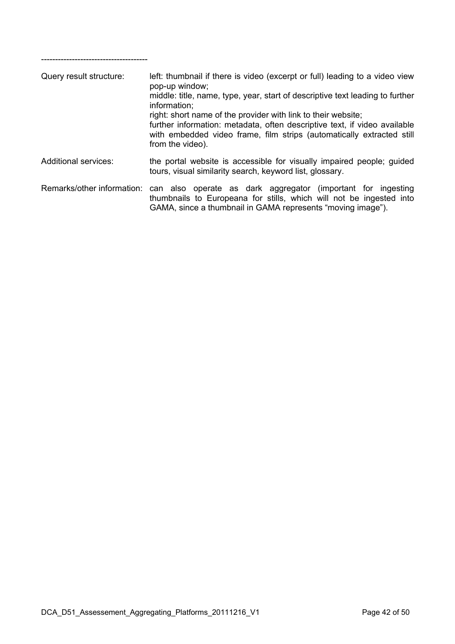| Query result structure:     | left: thumbnail if there is video (excerpt or full) leading to a video view<br>pop-up window;<br>middle: title, name, type, year, start of descriptive text leading to further<br>information;<br>right: short name of the provider with link to their website;<br>further information: metadata, often descriptive text, if video available<br>with embedded video frame, film strips (automatically extracted still<br>from the video). |
|-----------------------------|-------------------------------------------------------------------------------------------------------------------------------------------------------------------------------------------------------------------------------------------------------------------------------------------------------------------------------------------------------------------------------------------------------------------------------------------|
| <b>Additional services:</b> | the portal website is accessible for visually impaired people; guided<br>tours, visual similarity search, keyword list, glossary.                                                                                                                                                                                                                                                                                                         |
| Remarks/other information:  | can also operate as dark aggregator (important for ingesting<br>thumbnails to Europeana for stills, which will not be ingested into<br>GAMA, since a thumbnail in GAMA represents "moving image").                                                                                                                                                                                                                                        |

--------------------------------------

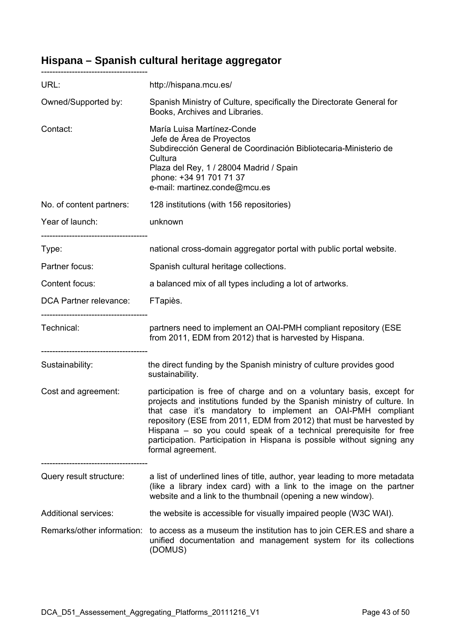# **Hispana – Spanish cultural heritage aggregator**

| URL:                                               | http://hispana.mcu.es/                                                                                                                                                                                                                                                                                                                                                                                                                                    |  |
|----------------------------------------------------|-----------------------------------------------------------------------------------------------------------------------------------------------------------------------------------------------------------------------------------------------------------------------------------------------------------------------------------------------------------------------------------------------------------------------------------------------------------|--|
| Owned/Supported by:                                | Spanish Ministry of Culture, specifically the Directorate General for<br>Books, Archives and Libraries.                                                                                                                                                                                                                                                                                                                                                   |  |
| Contact:                                           | María Luisa Martínez-Conde<br>Jefe de Área de Proyectos<br>Subdirección General de Coordinación Bibliotecaria-Ministerio de<br>Cultura<br>Plaza del Rey, 1 / 28004 Madrid / Spain<br>phone: +34 91 701 71 37<br>e-mail: martinez.conde@mcu.es                                                                                                                                                                                                             |  |
| No. of content partners:                           | 128 institutions (with 156 repositories)                                                                                                                                                                                                                                                                                                                                                                                                                  |  |
| Year of launch:                                    | unknown                                                                                                                                                                                                                                                                                                                                                                                                                                                   |  |
| ----------------------------------<br>Type:        | national cross-domain aggregator portal with public portal website.                                                                                                                                                                                                                                                                                                                                                                                       |  |
| Partner focus:                                     | Spanish cultural heritage collections.                                                                                                                                                                                                                                                                                                                                                                                                                    |  |
| Content focus:                                     | a balanced mix of all types including a lot of artworks.                                                                                                                                                                                                                                                                                                                                                                                                  |  |
| DCA Partner relevance:                             | FTapiès.                                                                                                                                                                                                                                                                                                                                                                                                                                                  |  |
| <br>Technical:<br>-------------------------------- | partners need to implement an OAI-PMH compliant repository (ESE<br>from 2011, EDM from 2012) that is harvested by Hispana.                                                                                                                                                                                                                                                                                                                                |  |
| Sustainability:                                    | the direct funding by the Spanish ministry of culture provides good<br>sustainability.                                                                                                                                                                                                                                                                                                                                                                    |  |
| Cost and agreement:                                | participation is free of charge and on a voluntary basis, except for<br>projects and institutions funded by the Spanish ministry of culture. In<br>that case it's mandatory to implement an OAI-PMH compliant<br>repository (ESE from 2011, EDM from 2012) that must be harvested by<br>Hispana – so you could speak of a technical prerequisite for free<br>participation. Participation in Hispana is possible without signing any<br>formal agreement. |  |
| Query result structure:                            | a list of underlined lines of title, author, year leading to more metadata<br>(like a library index card) with a link to the image on the partner<br>website and a link to the thumbnail (opening a new window).                                                                                                                                                                                                                                          |  |
| <b>Additional services:</b>                        | the website is accessible for visually impaired people (W3C WAI).                                                                                                                                                                                                                                                                                                                                                                                         |  |
| Remarks/other information:                         | to access as a museum the institution has to join CER.ES and share a<br>unified documentation and management system for its collections<br>(DOMUS)                                                                                                                                                                                                                                                                                                        |  |

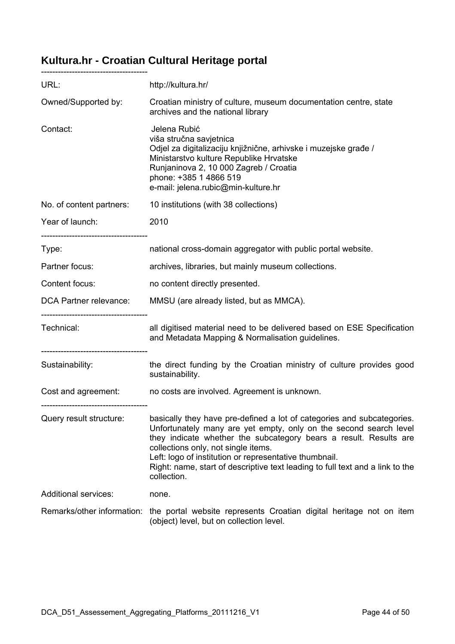### **Kultura.hr - Croatian Cultural Heritage portal**

| URL:                                                                                | http://kultura.hr/                                                                                                                                                                                                                                                                                                                                                                                                |
|-------------------------------------------------------------------------------------|-------------------------------------------------------------------------------------------------------------------------------------------------------------------------------------------------------------------------------------------------------------------------------------------------------------------------------------------------------------------------------------------------------------------|
| Owned/Supported by:                                                                 | Croatian ministry of culture, museum documentation centre, state<br>archives and the national library                                                                                                                                                                                                                                                                                                             |
| Contact:                                                                            | Jelena Rubić<br>viša stručna savjetnica<br>Odjel za digitalizaciju knjižnične, arhivske i muzejske građe /<br>Ministarstvo kulture Republike Hrvatske<br>Runjaninova 2, 10 000 Zagreb / Croatia<br>phone: +385 1 4866 519<br>e-mail: jelena.rubic@min-kulture.hr                                                                                                                                                  |
| No. of content partners:                                                            | 10 institutions (with 38 collections)                                                                                                                                                                                                                                                                                                                                                                             |
| Year of launch:                                                                     | 2010                                                                                                                                                                                                                                                                                                                                                                                                              |
| Type:                                                                               | national cross-domain aggregator with public portal website.                                                                                                                                                                                                                                                                                                                                                      |
| Partner focus:                                                                      | archives, libraries, but mainly museum collections.                                                                                                                                                                                                                                                                                                                                                               |
| Content focus:                                                                      | no content directly presented.                                                                                                                                                                                                                                                                                                                                                                                    |
| DCA Partner relevance:                                                              | MMSU (are already listed, but as MMCA).                                                                                                                                                                                                                                                                                                                                                                           |
| ---------------------------------<br>Technical:<br>-------------------------------- | all digitised material need to be delivered based on ESE Specification<br>and Metadata Mapping & Normalisation guidelines.                                                                                                                                                                                                                                                                                        |
| Sustainability:                                                                     | the direct funding by the Croatian ministry of culture provides good<br>sustainability.                                                                                                                                                                                                                                                                                                                           |
|                                                                                     | Cost and agreement: no costs are involved. Agreement is unknown.                                                                                                                                                                                                                                                                                                                                                  |
| Query result structure:                                                             | basically they have pre-defined a lot of categories and subcategories.<br>Unfortunately many are yet empty, only on the second search level<br>they indicate whether the subcategory bears a result. Results are<br>collections only, not single items.<br>Left: logo of institution or representative thumbnail.<br>Right: name, start of descriptive text leading to full text and a link to the<br>collection. |
| <b>Additional services:</b>                                                         | none.                                                                                                                                                                                                                                                                                                                                                                                                             |
| Remarks/other information:                                                          | the portal website represents Croatian digital heritage not on item<br>(object) level, but on collection level.                                                                                                                                                                                                                                                                                                   |



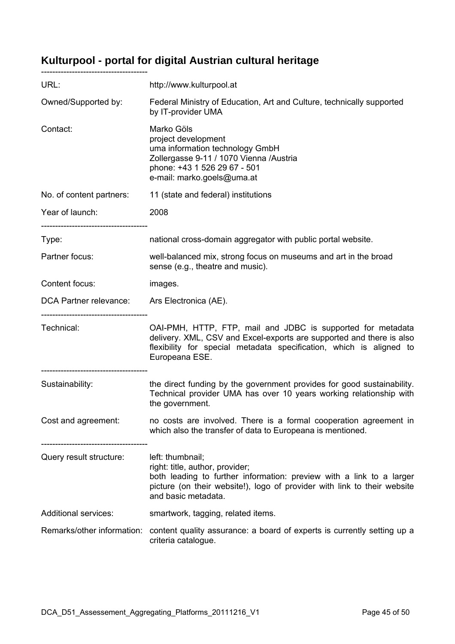### **Kulturpool - portal for digital Austrian cultural heritage**

| URL:                                              | http://www.kulturpool.at                                                                                                                                                                                                       |
|---------------------------------------------------|--------------------------------------------------------------------------------------------------------------------------------------------------------------------------------------------------------------------------------|
| Owned/Supported by:                               | Federal Ministry of Education, Art and Culture, technically supported<br>by IT-provider UMA                                                                                                                                    |
| Contact:                                          | Marko Göls<br>project development<br>uma information technology GmbH<br>Zollergasse 9-11 / 1070 Vienna /Austria<br>phone: +43 1 526 29 67 - 501<br>e-mail: marko.goels@uma.at                                                  |
| No. of content partners:                          | 11 (state and federal) institutions                                                                                                                                                                                            |
| Year of launch:                                   | 2008                                                                                                                                                                                                                           |
| Type:                                             | national cross-domain aggregator with public portal website.                                                                                                                                                                   |
| Partner focus:                                    | well-balanced mix, strong focus on museums and art in the broad<br>sense (e.g., theatre and music).                                                                                                                            |
| Content focus:                                    | images.                                                                                                                                                                                                                        |
| DCA Partner relevance: Ars Electronica (AE).      |                                                                                                                                                                                                                                |
| . _________________________________<br>Technical: | OAI-PMH, HTTP, FTP, mail and JDBC is supported for metadata<br>delivery. XML, CSV and Excel-exports are supported and there is also<br>flexibility for special metadata specification, which is aligned to<br>Europeana ESE.   |
| Sustainability:                                   | the direct funding by the government provides for good sustainability.<br>Technical provider UMA has over 10 years working relationship with<br>the government.                                                                |
| Cost and agreement:                               | no costs are involved. There is a formal cooperation agreement in<br>which also the transfer of data to Europeana is mentioned.                                                                                                |
| Query result structure:                           | left: thumbnail;<br>right: title, author, provider;<br>both leading to further information: preview with a link to a larger<br>picture (on their website!), logo of provider with link to their website<br>and basic metadata. |
| <b>Additional services:</b>                       | smartwork, tagging, related items.                                                                                                                                                                                             |
| Remarks/other information:                        | content quality assurance: a board of experts is currently setting up a<br>criteria catalogue.                                                                                                                                 |

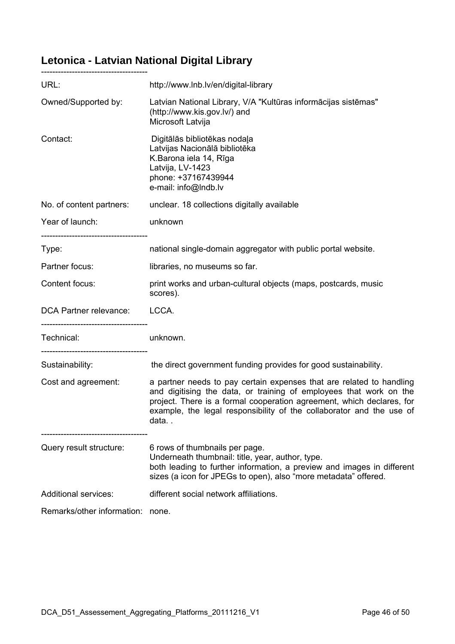# **Letonica - Latvian National Digital Library**

| URL:                                                  | http://www.lnb.lv/en/digital-library                                                                                                                                                                                                                                                                |
|-------------------------------------------------------|-----------------------------------------------------------------------------------------------------------------------------------------------------------------------------------------------------------------------------------------------------------------------------------------------------|
| Owned/Supported by:                                   | Latvian National Library, V/A "Kultūras informācijas sistēmas"<br>(http://www.kis.gov.lv/) and<br>Microsoft Latvija                                                                                                                                                                                 |
| Contact:                                              | Digitālās bibliotēkas nodaļa<br>Latvijas Nacionālā bibliotēka<br>K.Barona iela 14, Rīga<br>Latvija, LV-1423<br>phone: +37167439944<br>e-mail: info@Indb.lv                                                                                                                                          |
| No. of content partners:                              | unclear. 18 collections digitally available                                                                                                                                                                                                                                                         |
| Year of launch:                                       | unknown                                                                                                                                                                                                                                                                                             |
| Type:                                                 | national single-domain aggregator with public portal website.                                                                                                                                                                                                                                       |
| Partner focus:                                        | libraries, no museums so far.                                                                                                                                                                                                                                                                       |
| Content focus:                                        | print works and urban-cultural objects (maps, postcards, music<br>scores).                                                                                                                                                                                                                          |
| DCA Partner relevance:                                | LCCA.                                                                                                                                                                                                                                                                                               |
| ----------------------------------<br>Technical:      | unknown.                                                                                                                                                                                                                                                                                            |
| ----------------------------------<br>Sustainability: | the direct government funding provides for good sustainability.                                                                                                                                                                                                                                     |
| Cost and agreement:                                   | a partner needs to pay certain expenses that are related to handling<br>and digitising the data, or training of employees that work on the<br>project. There is a formal cooperation agreement, which declares, for<br>example, the legal responsibility of the collaborator and the use of<br>data |
| Query result structure:                               | 6 rows of thumbnails per page.<br>Underneath thumbnail: title, year, author, type.<br>both leading to further information, a preview and images in different<br>sizes (a icon for JPEGs to open), also "more metadata" offered.                                                                     |
| <b>Additional services:</b>                           | different social network affiliations.                                                                                                                                                                                                                                                              |
| Remarks/other information:                            | none.                                                                                                                                                                                                                                                                                               |

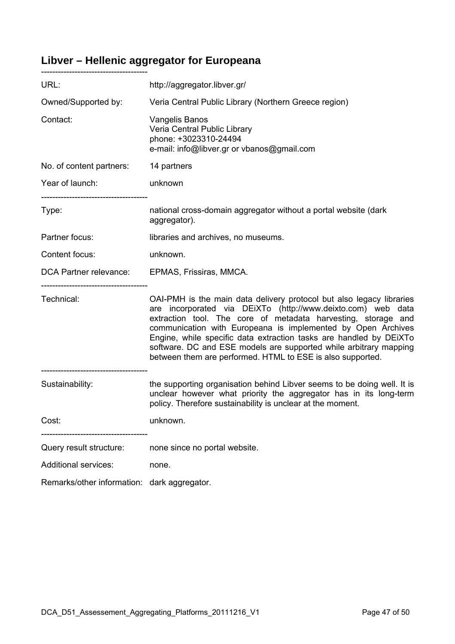# **Libver – Hellenic aggregator for Europeana**

| URL:                                           | http://aggregator.libver.gr/                                                                                                                                                                                                                                                                                                                                                                                                                                                   |
|------------------------------------------------|--------------------------------------------------------------------------------------------------------------------------------------------------------------------------------------------------------------------------------------------------------------------------------------------------------------------------------------------------------------------------------------------------------------------------------------------------------------------------------|
| Owned/Supported by:                            | Veria Central Public Library (Northern Greece region)                                                                                                                                                                                                                                                                                                                                                                                                                          |
| Contact:                                       | Vangelis Banos<br>Veria Central Public Library<br>phone: +3023310-24494<br>e-mail: info@libver.gr or vbanos@gmail.com                                                                                                                                                                                                                                                                                                                                                          |
| No. of content partners:                       | 14 partners                                                                                                                                                                                                                                                                                                                                                                                                                                                                    |
| Year of launch:                                | unknown                                                                                                                                                                                                                                                                                                                                                                                                                                                                        |
| Type:                                          | national cross-domain aggregator without a portal website (dark<br>aggregator).                                                                                                                                                                                                                                                                                                                                                                                                |
| Partner focus:                                 | libraries and archives, no museums.                                                                                                                                                                                                                                                                                                                                                                                                                                            |
| Content focus:                                 | unknown.                                                                                                                                                                                                                                                                                                                                                                                                                                                                       |
| DCA Partner relevance: EPMAS, Frissiras, MMCA. |                                                                                                                                                                                                                                                                                                                                                                                                                                                                                |
| Technical:                                     | OAI-PMH is the main data delivery protocol but also legacy libraries<br>are incorporated via DEIXTo (http://www.deixto.com) web data<br>extraction tool. The core of metadata harvesting, storage and<br>communication with Europeana is implemented by Open Archives<br>Engine, while specific data extraction tasks are handled by DEIXTo<br>software. DC and ESE models are supported while arbitrary mapping<br>between them are performed. HTML to ESE is also supported. |
| Sustainability:                                | the supporting organisation behind Libver seems to be doing well. It is<br>unclear however what priority the aggregator has in its long-term<br>policy. Therefore sustainability is unclear at the moment.                                                                                                                                                                                                                                                                     |
| Cost:                                          | unknown.                                                                                                                                                                                                                                                                                                                                                                                                                                                                       |
| Query result structure:                        | none since no portal website.                                                                                                                                                                                                                                                                                                                                                                                                                                                  |
| <b>Additional services:</b>                    | none.                                                                                                                                                                                                                                                                                                                                                                                                                                                                          |
| Remarks/other information: dark aggregator.    |                                                                                                                                                                                                                                                                                                                                                                                                                                                                                |

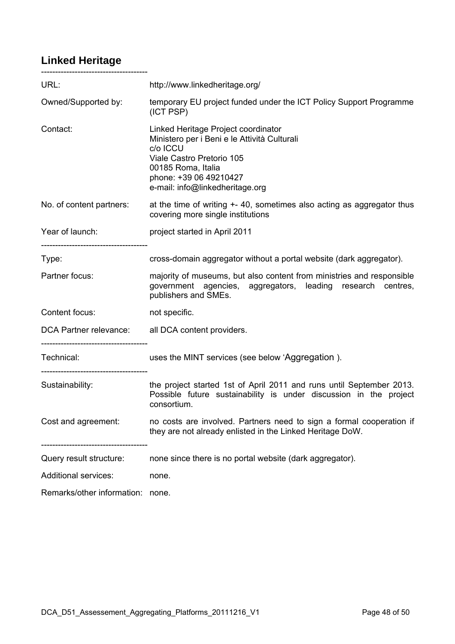### **Linked Heritage**

| URL:                                                                                  | http://www.linkedheritage.org/                                                                                                                                                                                  |
|---------------------------------------------------------------------------------------|-----------------------------------------------------------------------------------------------------------------------------------------------------------------------------------------------------------------|
| Owned/Supported by:                                                                   | temporary EU project funded under the ICT Policy Support Programme<br>(ICT PSP)                                                                                                                                 |
| Contact:                                                                              | Linked Heritage Project coordinator<br>Ministero per i Beni e le Attività Culturali<br>c/o ICCU<br>Viale Castro Pretorio 105<br>00185 Roma, Italia<br>phone: +39 06 49210427<br>e-mail: info@linkedheritage.org |
| No. of content partners:                                                              | at the time of writing +-40, sometimes also acting as aggregator thus<br>covering more single institutions                                                                                                      |
| Year of launch:                                                                       | project started in April 2011                                                                                                                                                                                   |
| Type:                                                                                 | cross-domain aggregator without a portal website (dark aggregator).                                                                                                                                             |
| Partner focus:                                                                        | majority of museums, but also content from ministries and responsible<br>government agencies, aggregators, leading research centres,<br>publishers and SMEs.                                                    |
| Content focus:                                                                        | not specific.                                                                                                                                                                                                   |
| DCA Partner relevance: all DCA content providers.<br>-------------------------------- |                                                                                                                                                                                                                 |
| Technical:<br>-------------------------------                                         | uses the MINT services (see below 'Aggregation).                                                                                                                                                                |
| Sustainability:                                                                       | the project started 1st of April 2011 and runs until September 2013.<br>Possible future sustainability is under discussion in the project<br>consortium.                                                        |
| Cost and agreement:                                                                   | no costs are involved. Partners need to sign a formal cooperation if<br>they are not already enlisted in the Linked Heritage DoW.                                                                               |
| Query result structure:                                                               | none since there is no portal website (dark aggregator).                                                                                                                                                        |
| <b>Additional services:</b>                                                           | none.                                                                                                                                                                                                           |
| Remarks/other information:                                                            | none.                                                                                                                                                                                                           |

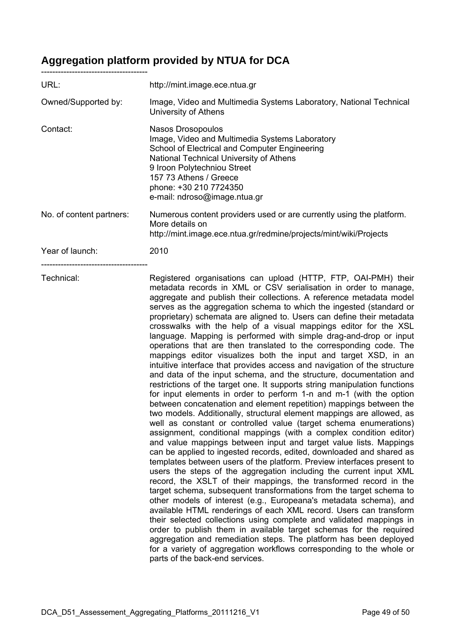# **Aggregation platform provided by NTUA for DCA**

| URL:                     | http://mint.image.ece.ntua.gr                                                                                                                                                                                                                                                                                                                                                                                                                                                                                                                                                                                                                                                                                                                                                                                                                                                                                                                                                                                                                                                                                                                                                                                                                                                                                                                                                                                                                                                                                                                                                                                                                                                                                                                                                                                                                                                                                                                                                                                                                                                                                                                               |
|--------------------------|-------------------------------------------------------------------------------------------------------------------------------------------------------------------------------------------------------------------------------------------------------------------------------------------------------------------------------------------------------------------------------------------------------------------------------------------------------------------------------------------------------------------------------------------------------------------------------------------------------------------------------------------------------------------------------------------------------------------------------------------------------------------------------------------------------------------------------------------------------------------------------------------------------------------------------------------------------------------------------------------------------------------------------------------------------------------------------------------------------------------------------------------------------------------------------------------------------------------------------------------------------------------------------------------------------------------------------------------------------------------------------------------------------------------------------------------------------------------------------------------------------------------------------------------------------------------------------------------------------------------------------------------------------------------------------------------------------------------------------------------------------------------------------------------------------------------------------------------------------------------------------------------------------------------------------------------------------------------------------------------------------------------------------------------------------------------------------------------------------------------------------------------------------------|
| Owned/Supported by:      | Image, Video and Multimedia Systems Laboratory, National Technical<br>University of Athens                                                                                                                                                                                                                                                                                                                                                                                                                                                                                                                                                                                                                                                                                                                                                                                                                                                                                                                                                                                                                                                                                                                                                                                                                                                                                                                                                                                                                                                                                                                                                                                                                                                                                                                                                                                                                                                                                                                                                                                                                                                                  |
| Contact:                 | Nasos Drosopoulos<br>Image, Video and Multimedia Systems Laboratory<br>School of Electrical and Computer Engineering<br>National Technical University of Athens<br>9 Iroon Polytechniou Street<br>157 73 Athens / Greece<br>phone: +30 210 7724350<br>e-mail: ndroso@image.ntua.gr                                                                                                                                                                                                                                                                                                                                                                                                                                                                                                                                                                                                                                                                                                                                                                                                                                                                                                                                                                                                                                                                                                                                                                                                                                                                                                                                                                                                                                                                                                                                                                                                                                                                                                                                                                                                                                                                          |
| No. of content partners: | Numerous content providers used or are currently using the platform.<br>More details on<br>http://mint.image.ece.ntua.gr/redmine/projects/mint/wiki/Projects                                                                                                                                                                                                                                                                                                                                                                                                                                                                                                                                                                                                                                                                                                                                                                                                                                                                                                                                                                                                                                                                                                                                                                                                                                                                                                                                                                                                                                                                                                                                                                                                                                                                                                                                                                                                                                                                                                                                                                                                |
| Year of launch:          | 2010                                                                                                                                                                                                                                                                                                                                                                                                                                                                                                                                                                                                                                                                                                                                                                                                                                                                                                                                                                                                                                                                                                                                                                                                                                                                                                                                                                                                                                                                                                                                                                                                                                                                                                                                                                                                                                                                                                                                                                                                                                                                                                                                                        |
| Technical:               | Registered organisations can upload (HTTP, FTP, OAI-PMH) their<br>metadata records in XML or CSV serialisation in order to manage,<br>aggregate and publish their collections. A reference metadata model<br>serves as the aggregation schema to which the ingested (standard or<br>proprietary) schemata are aligned to. Users can define their metadata<br>crosswalks with the help of a visual mappings editor for the XSL<br>language. Mapping is performed with simple drag-and-drop or input<br>operations that are then translated to the corresponding code. The<br>mappings editor visualizes both the input and target XSD, in an<br>intuitive interface that provides access and navigation of the structure<br>and data of the input schema, and the structure, documentation and<br>restrictions of the target one. It supports string manipulation functions<br>for input elements in order to perform 1-n and m-1 (with the option<br>between concatenation and element repetition) mappings between the<br>two models. Additionally, structural element mappings are allowed, as<br>well as constant or controlled value (target schema enumerations)<br>assignment, conditional mappings (with a complex condition editor)<br>and value mappings between input and target value lists. Mappings<br>can be applied to ingested records, edited, downloaded and shared as<br>templates between users of the platform. Preview interfaces present to<br>users the steps of the aggregation including the current input XML<br>record, the XSLT of their mappings, the transformed record in the<br>target schema, subsequent transformations from the target schema to<br>other models of interest (e.g., Europeana's metadata schema), and<br>available HTML renderings of each XML record. Users can transform<br>their selected collections using complete and validated mappings in<br>order to publish them in available target schemas for the required<br>aggregation and remediation steps. The platform has been deployed<br>for a variety of aggregation workflows corresponding to the whole or<br>parts of the back-end services. |